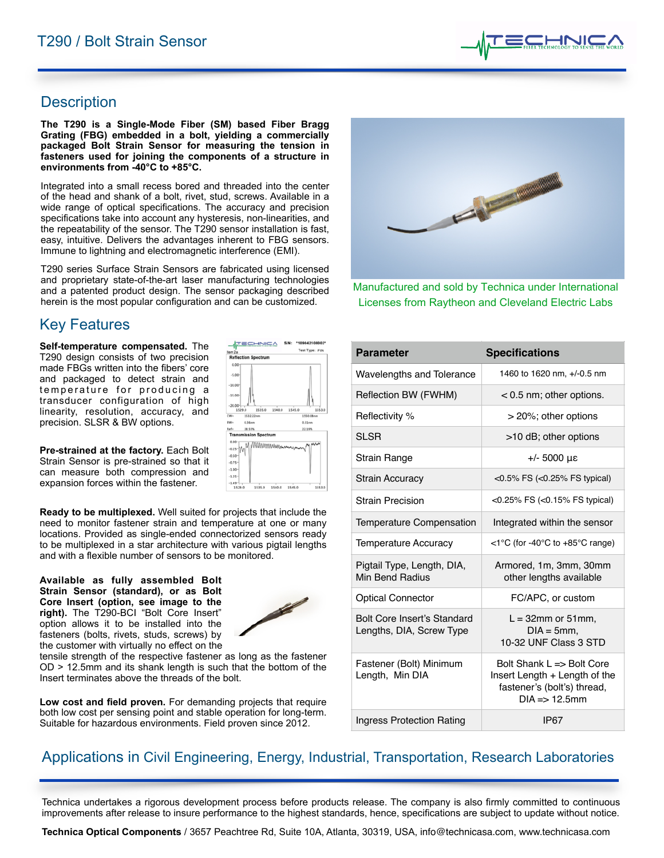

### **Description**

**The T290 is a Single-Mode Fiber (SM) based Fiber Bragg Grating (FBG) embedded in a bolt, yielding a commercially packaged Bolt Strain Sensor for measuring the tension in fasteners used for joining the components of a structure in environments from -40°C to +85°C.** 

Integrated into a small recess bored and threaded into the center of the head and shank of a bolt, rivet, stud, screws. Available in a wide range of optical specifications. The accuracy and precision specifications take into account any hysteresis, non-linearities, and the repeatability of the sensor. The T290 sensor installation is fast, easy, intuitive. Delivers the advantages inherent to FBG sensors. Immune to lightning and electromagnetic interference (EMI).

T290 series Surface Strain Sensors are fabricated using licensed and proprietary state-of-the-art laser manufacturing technologies and a patented product design. The sensor packaging described herein is the most popular configuration and can be customized.

# **Key Features**

**Self-temperature compensated.** The T290 design consists of two precision made FBGs written into the fibers' core and packaged to detect strain and temperature for producing a transducer configuration of high linearity, resolution, accuracy, and precision. SLSR & BW options.

**Pre-strained at the factory.** Each Bolt Strain Sensor is pre-strained so that it can measure both compression and expansion forces within the fastener.

**Ready to be multiplexed.** Well suited for projects that include the need to monitor fastener strain and temperature at one or many locations. Provided as single-ended connectorized sensors ready to be multiplexed in a star architecture with various pigtail lengths and with a flexible number of sensors to be monitored.

**Available as fully assembled Bolt Strain Sensor (standard), or as Bolt Core Insert (option, see image to the right).** The T290-BCI "Bolt Core Insert" option allows it to be installed into the fasteners (bolts, rivets, studs, screws) by the customer with virtually no effect on the



1535.0 1540.0 1545.0

TECHNICA

1535.0

M WWWW  $-0.25 - M$ 

 $0.00$  $-10.00$  $-15.00$  $-20.00$ 

BW- $0.36n$ 

 $0.00<sub>1</sub>$ 

 $-0.50$  $-0.75 - 1.00 -1.25 -1.49 -$ <br>1529.0 \*109042108002 Test Type: FiN

**WAMAN** 

1553.0

tensile strength of the respective fastener as long as the fastener OD > 12.5mm and its shank length is such that the bottom of the Insert terminates above the threads of the bolt.

**Low cost and field proven.** For demanding projects that require both low cost per sensing point and stable operation for long-term. Suitable for hazardous environments. Field proven since 2012.



Manufactured and sold by Technica under International Licenses from Raytheon and Cleveland Electric Labs

| <b>Parameter</b>                                        | <b>Specifications</b>                                                                                                 |
|---------------------------------------------------------|-----------------------------------------------------------------------------------------------------------------------|
| <b>Wavelengths and Tolerance</b>                        | 1460 to 1620 nm, +/-0.5 nm                                                                                            |
| Reflection BW (FWHM)                                    | $< 0.5$ nm; other options.                                                                                            |
| Reflectivity %                                          | > 20%; other options                                                                                                  |
| <b>SLSR</b>                                             | >10 dB; other options                                                                                                 |
| Strain Range                                            | $+/- 5000 \mu\varepsilon$                                                                                             |
| <b>Strain Accuracy</b>                                  | $<$ 0.5% FS ( $<$ 0.25% FS typical)                                                                                   |
| <b>Strain Precision</b>                                 | $<$ 0.25% FS ( $<$ 0.15% FS typical)                                                                                  |
| Temperature Compensation                                | Integrated within the sensor                                                                                          |
| <b>Temperature Accuracy</b>                             | <1°C (for -40°C to +85°C range)                                                                                       |
| Pigtail Type, Length, DIA,<br>Min Bend Radius           | Armored, 1m, 3mm, 30mm<br>other lengths available                                                                     |
| <b>Optical Connector</b>                                | FC/APC, or custom                                                                                                     |
| Bolt Core Insert's Standard<br>Lengths, DIA, Screw Type | $L = 32$ mm or 51 mm,<br>$DIA = 5mm$ .<br>10-32 UNF Class 3 STD                                                       |
| Fastener (Bolt) Minimum<br>Length, Min DIA              | Bolt Shank L => Bolt Core<br>Insert Length + Length of the<br>fastener's (bolt's) thread,<br>$DIA \Rightarrow 12.5mm$ |
| <b>Ingress Protection Rating</b>                        | IP67                                                                                                                  |

## Applications in Civil Engineering, Energy, Industrial, Transportation, Research Laboratories

Technica undertakes a rigorous development process before products release. The company is also firmly committed to continuous improvements after release to insure performance to the highest standards, hence, specifications are subject to update without notice.

**Technica Optical Components** / 3657 Peachtree Rd, Suite 10A, Atlanta, 30319, USA, [info@technicasa.com](mailto:info@technicasa.com), [www.technicasa.com](http://www.technicasa.com)